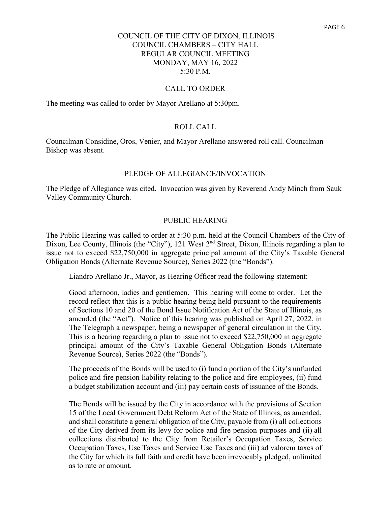### CALL TO ORDER

The meeting was called to order by Mayor Arellano at 5:30pm.

# ROLL CALL

Councilman Considine, Oros, Venier, and Mayor Arellano answered roll call. Councilman Bishop was absent.

#### PLEDGE OF ALLEGIANCE/INVOCATION

The Pledge of Allegiance was cited. Invocation was given by Reverend Andy Minch from Sauk Valley Community Church.

#### PUBLIC HEARING

The Public Hearing was called to order at 5:30 p.m. held at the Council Chambers of the City of Dixon, Lee County, Illinois (the "City"), 121 West 2<sup>nd</sup> Street, Dixon, Illinois regarding a plan to issue not to exceed \$22,750,000 in aggregate principal amount of the City's Taxable General Obligation Bonds (Alternate Revenue Source), Series 2022 (the "Bonds").

Liandro Arellano Jr., Mayor, as Hearing Officer read the following statement:

Good afternoon, ladies and gentlemen. This hearing will come to order. Let the record reflect that this is a public hearing being held pursuant to the requirements of Sections 10 and 20 of the Bond Issue Notification Act of the State of Illinois, as amended (the "Act"). Notice of this hearing was published on April 27, 2022, in The Telegraph a newspaper, being a newspaper of general circulation in the City. This is a hearing regarding a plan to issue not to exceed \$22,750,000 in aggregate principal amount of the City's Taxable General Obligation Bonds (Alternate Revenue Source), Series 2022 (the "Bonds").

The proceeds of the Bonds will be used to (i) fund a portion of the City's unfunded police and fire pension liability relating to the police and fire employees, (ii) fund a budget stabilization account and (iii) pay certain costs of issuance of the Bonds.

The Bonds will be issued by the City in accordance with the provisions of Section 15 of the Local Government Debt Reform Act of the State of Illinois, as amended, and shall constitute a general obligation of the City, payable from (i) all collections of the City derived from its levy for police and fire pension purposes and (ii) all collections distributed to the City from Retailer's Occupation Taxes, Service Occupation Taxes, Use Taxes and Service Use Taxes and (iii) ad valorem taxes of the City for which its full faith and credit have been irrevocably pledged, unlimited as to rate or amount.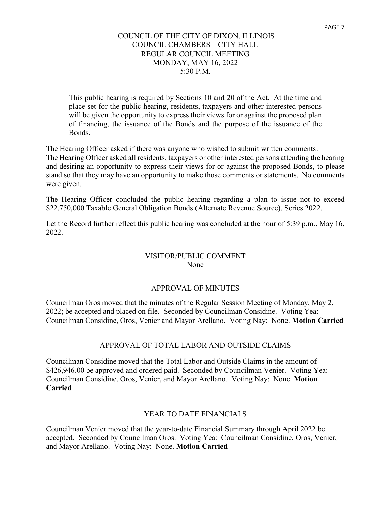This public hearing is required by Sections 10 and 20 of the Act. At the time and place set for the public hearing, residents, taxpayers and other interested persons will be given the opportunity to express their views for or against the proposed plan of financing, the issuance of the Bonds and the purpose of the issuance of the Bonds.

The Hearing Officer asked if there was anyone who wished to submit written comments.

The Hearing Officer asked all residents, taxpayers or other interested persons attending the hearing and desiring an opportunity to express their views for or against the proposed Bonds, to please stand so that they may have an opportunity to make those comments or statements. No comments were given.

The Hearing Officer concluded the public hearing regarding a plan to issue not to exceed \$22,750,000 Taxable General Obligation Bonds (Alternate Revenue Source), Series 2022.

Let the Record further reflect this public hearing was concluded at the hour of 5:39 p.m., May 16, 2022.

# VISITOR/PUBLIC COMMENT None

# APPROVAL OF MINUTES

Councilman Oros moved that the minutes of the Regular Session Meeting of Monday, May 2, 2022; be accepted and placed on file. Seconded by Councilman Considine. Voting Yea: Councilman Considine, Oros, Venier and Mayor Arellano. Voting Nay: None. **Motion Carried**

# APPROVAL OF TOTAL LABOR AND OUTSIDE CLAIMS

Councilman Considine moved that the Total Labor and Outside Claims in the amount of \$426,946.00 be approved and ordered paid. Seconded by Councilman Venier. Voting Yea: Councilman Considine, Oros, Venier, and Mayor Arellano. Voting Nay: None. **Motion Carried**

# YEAR TO DATE FINANCIALS

Councilman Venier moved that the year-to-date Financial Summary through April 2022 be accepted. Seconded by Councilman Oros. Voting Yea: Councilman Considine, Oros, Venier, and Mayor Arellano. Voting Nay: None. **Motion Carried**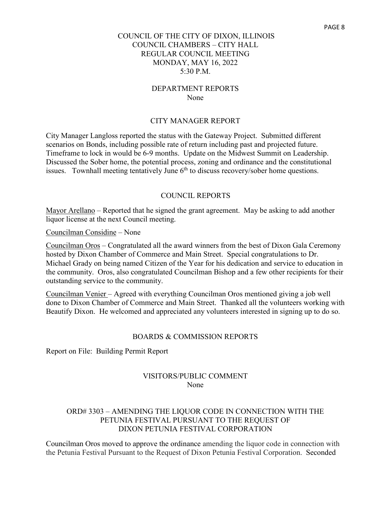### DEPARTMENT REPORTS None

### CITY MANAGER REPORT

City Manager Langloss reported the status with the Gateway Project. Submitted different scenarios on Bonds, including possible rate of return including past and projected future. Timeframe to lock in would be 6-9 months. Update on the Midwest Summit on Leadership. Discussed the Sober home, the potential process, zoning and ordinance and the constitutional issues. Townhall meeting tentatively June  $6<sup>th</sup>$  to discuss recovery/sober home questions.

#### COUNCIL REPORTS

Mayor Arellano – Reported that he signed the grant agreement. May be asking to add another liquor license at the next Council meeting.

Councilman Considine – None

Councilman Oros – Congratulated all the award winners from the best of Dixon Gala Ceremony hosted by Dixon Chamber of Commerce and Main Street. Special congratulations to Dr. Michael Grady on being named Citizen of the Year for his dedication and service to education in the community. Oros, also congratulated Councilman Bishop and a few other recipients for their outstanding service to the community.

Councilman Venier – Agreed with everything Councilman Oros mentioned giving a job well done to Dixon Chamber of Commerce and Main Street. Thanked all the volunteers working with Beautify Dixon. He welcomed and appreciated any volunteers interested in signing up to do so.

#### BOARDS & COMMISSION REPORTS

Report on File: Building Permit Report

#### VISITORS/PUBLIC COMMENT None

# ORD# 3303 – AMENDING THE LIQUOR CODE IN CONNECTION WITH THE PETUNIA FESTIVAL PURSUANT TO THE REQUEST OF DIXON PETUNIA FESTIVAL CORPORATION

Councilman Oros moved to approve the ordinance amending the liquor code in connection with the Petunia Festival Pursuant to the Request of Dixon Petunia Festival Corporation. Seconded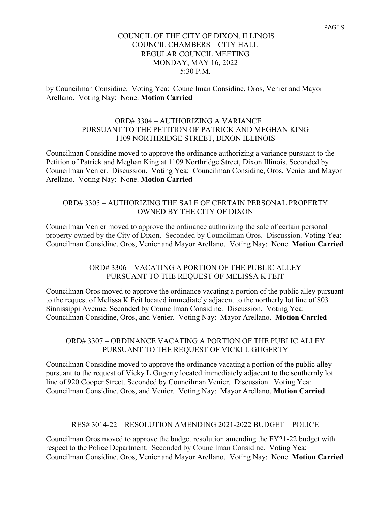by Councilman Considine. Voting Yea: Councilman Considine, Oros, Venier and Mayor Arellano. Voting Nay: None. **Motion Carried**

# ORD# 3304 – AUTHORIZING A VARIANCE PURSUANT TO THE PETITION OF PATRICK AND MEGHAN KING 1109 NORTHRIDGE STREET, DIXON ILLINOIS

Councilman Considine moved to approve the ordinance authorizing a variance pursuant to the Petition of Patrick and Meghan King at 1109 Northridge Street, Dixon Illinois. Seconded by Councilman Venier. Discussion. Voting Yea: Councilman Considine, Oros, Venier and Mayor Arellano. Voting Nay: None. **Motion Carried**

# ORD# 3305 – AUTHORIZING THE SALE OF CERTAIN PERSONAL PROPERTY OWNED BY THE CITY OF DIXON

Councilman Venier moved to approve the ordinance authorizing the sale of certain personal property owned by the City of Dixon. Seconded by Councilman Oros. Discussion. Voting Yea: Councilman Considine, Oros, Venier and Mayor Arellano. Voting Nay: None. **Motion Carried**

# ORD# 3306 – VACATING A PORTION OF THE PUBLIC ALLEY PURSUANT TO THE REQUEST OF MELISSA K FEIT

Councilman Oros moved to approve the ordinance vacating a portion of the public alley pursuant to the request of Melissa K Feit located immediately adjacent to the northerly lot line of 803 Sinnissippi Avenue. Seconded by Councilman Considine. Discussion. Voting Yea: Councilman Considine, Oros, and Venier. Voting Nay: Mayor Arellano. **Motion Carried**

# ORD# 3307 – ORDINANCE VACATING A PORTION OF THE PUBLIC ALLEY PURSUANT TO THE REQUEST OF VICKI L GUGERTY

Councilman Considine moved to approve the ordinance vacating a portion of the public alley pursuant to the request of Vicky L Gugerty located immediately adjacent to the southernly lot line of 920 Cooper Street. Seconded by Councilman Venier. Discussion. Voting Yea: Councilman Considine, Oros, and Venier. Voting Nay: Mayor Arellano. **Motion Carried**

# RES# 3014-22 – RESOLUTION AMENDING 2021-2022 BUDGET – POLICE

Councilman Oros moved to approve the budget resolution amending the FY21-22 budget with respect to the Police Department. Seconded by Councilman Considine. Voting Yea: Councilman Considine, Oros, Venier and Mayor Arellano. Voting Nay: None. **Motion Carried**